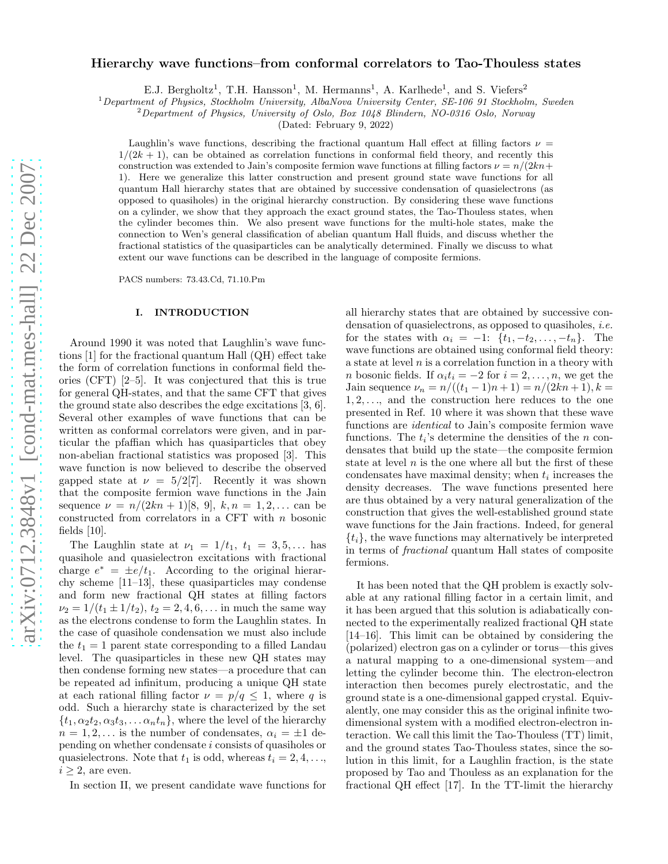# Hierarchy wave functions–from conformal correlators to Tao-Thouless states

E.J. Bergholtz<sup>1</sup>, T.H. Hansson<sup>1</sup>, M. Hermanns<sup>1</sup>, A. Karlhede<sup>1</sup>, and S. Viefers<sup>2</sup>

<sup>1</sup> Department of Physics, Stockholm University, AlbaNova University Center, SE-106 91 Stockholm, Sweden

<sup>2</sup>Department of Physics, University of Oslo, Box 1048 Blindern, NO-0316 Oslo, Norway

(Dated: February 9, 2022)

Laughlin's wave functions, describing the fractional quantum Hall effect at filling factors  $\nu =$  $1/(2k+1)$ , can be obtained as correlation functions in conformal field theory, and recently this construction was extended to Jain's composite fermion wave functions at filling factors  $\nu = n/(2kn+1)$ 1). Here we generalize this latter construction and present ground state wave functions for all quantum Hall hierarchy states that are obtained by successive condensation of quasielectrons (as opposed to quasiholes) in the original hierarchy construction. By considering these wave functions on a cylinder, we show that they approach the exact ground states, the Tao-Thouless states, when the cylinder becomes thin. We also present wave functions for the multi-hole states, make the connection to Wen's general classification of abelian quantum Hall fluids, and discuss whether the fractional statistics of the quasiparticles can be analytically determined. Finally we discuss to what extent our wave functions can be described in the language of composite fermions.

PACS numbers: 73.43.Cd, 71.10.Pm

### I. INTRODUCTION

Around 1990 it was noted that Laughlin's wave functions [1] for the fractional quantum Hall (QH) effect take the form of correlation functions in conformal field theories (CFT) [2–5]. It was conjectured that this is true for general QH-states, and that the same CFT that gives the ground state also describes the edge excitations [3, 6]. Several other examples of wave functions that can be written as conformal correlators were given, and in particular the pfaffian which has quasiparticles that obey non-abelian fractional statistics was proposed [3]. This wave function is now believed to describe the observed gapped state at  $\nu = 5/2[7]$ . Recently it was shown that the composite fermion wave functions in the Jain sequence  $\nu = n/(2kn+1)[8, 9], k, n = 1, 2, ...$  can be constructed from correlators in a CFT with n bosonic fields [10].

The Laughlin state at  $\nu_1 = 1/t_1$ ,  $t_1 = 3, 5, \ldots$  has quasihole and quasielectron excitations with fractional charge  $e^* = \pm e/t_1$ . According to the original hierarchy scheme [11–13], these quasiparticles may condense and form new fractional QH states at filling factors  $\nu_2 = 1/(t_1 \pm 1/t_2), t_2 = 2, 4, 6, \ldots$  in much the same way as the electrons condense to form the Laughlin states. In the case of quasihole condensation we must also include the  $t_1 = 1$  parent state corresponding to a filled Landau level. The quasiparticles in these new QH states may then condense forming new states—a procedure that can be repeated ad infinitum, producing a unique QH state at each rational filling factor  $\nu = p/q \leq 1$ , where q is odd. Such a hierarchy state is characterized by the set  $\{t_1, \alpha_2 t_2, \alpha_3 t_3, \dots \alpha_n t_n\}$ , where the level of the hierarchy  $n = 1, 2, \dots$  is the number of condensates,  $\alpha_i = \pm 1$  depending on whether condensate i consists of quasiholes or quasielectrons. Note that  $t_1$  is odd, whereas  $t_i = 2, 4, \ldots$ ,  $i \geq 2$ , are even.

In section II, we present candidate wave functions for

all hierarchy states that are obtained by successive condensation of quasielectrons, as opposed to quasiholes, *i.e.* for the states with  $\alpha_i = -1$ :  $\{t_1, -t_2, \ldots, -t_n\}$ . The wave functions are obtained using conformal field theory: a state at level  $n$  is a correlation function in a theory with *n* bosonic fields. If  $\alpha_i t_i = -2$  for  $i = 2, \ldots, n$ , we get the Jain sequence  $\nu_n = n/((t_1 - 1)n + 1) = n/(2kn + 1), k =$  $1, 2, \ldots$ , and the construction here reduces to the one presented in Ref. 10 where it was shown that these wave functions are identical to Jain's composite fermion wave functions. The  $t_i$ 's determine the densities of the  $n$  condensates that build up the state—the composite fermion state at level  $n$  is the one where all but the first of these condensates have maximal density; when  $t_i$  increases the density decreases. The wave functions presented here are thus obtained by a very natural generalization of the construction that gives the well-established ground state wave functions for the Jain fractions. Indeed, for general  $\{t_i\}$ , the wave functions may alternatively be interpreted in terms of fractional quantum Hall states of composite fermions.

It has been noted that the QH problem is exactly solvable at any rational filling factor in a certain limit, and it has been argued that this solution is adiabatically connected to the experimentally realized fractional QH state [14–16]. This limit can be obtained by considering the (polarized) electron gas on a cylinder or torus—this gives a natural mapping to a one-dimensional system—and letting the cylinder become thin. The electron-electron interaction then becomes purely electrostatic, and the ground state is a one-dimensional gapped crystal. Equivalently, one may consider this as the original infinite twodimensional system with a modified electron-electron interaction. We call this limit the Tao-Thouless (TT) limit, and the ground states Tao-Thouless states, since the solution in this limit, for a Laughlin fraction, is the state proposed by Tao and Thouless as an explanation for the fractional QH effect [17]. In the TT-limit the hierarchy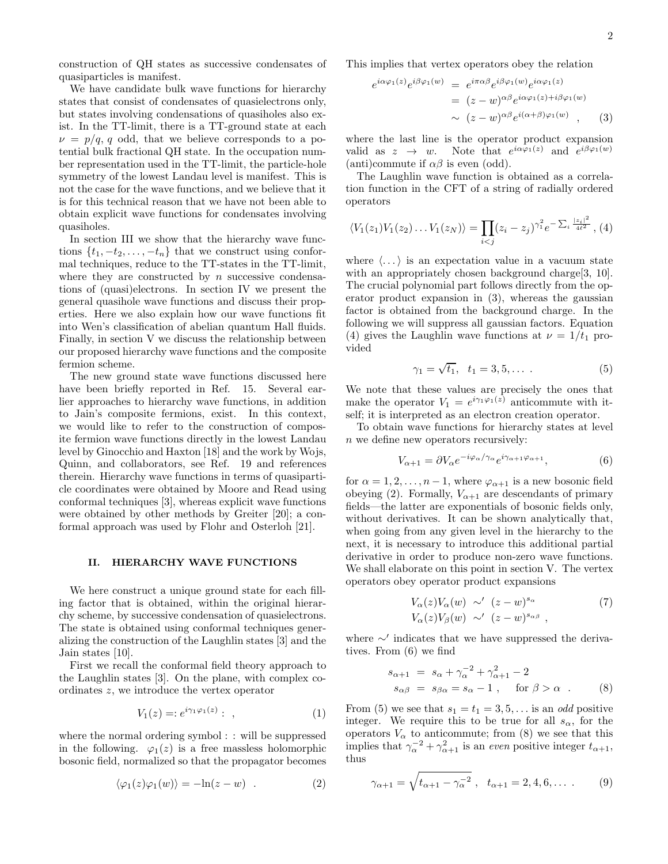construction of QH states as successive condensates of quasiparticles is manifest.

We have candidate bulk wave functions for hierarchy states that consist of condensates of quasielectrons only, but states involving condensations of quasiholes also exist. In the TT-limit, there is a TT-ground state at each  $\nu = p/q$ , q odd, that we believe corresponds to a potential bulk fractional QH state. In the occupation number representation used in the TT-limit, the particle-hole symmetry of the lowest Landau level is manifest. This is not the case for the wave functions, and we believe that it is for this technical reason that we have not been able to obtain explicit wave functions for condensates involving quasiholes.

In section III we show that the hierarchy wave functions  $\{t_1, -t_2, \ldots, -t_n\}$  that we construct using conformal techniques, reduce to the TT-states in the TT-limit, where they are constructed by  $n$  successive condensations of (quasi)electrons. In section IV we present the general quasihole wave functions and discuss their properties. Here we also explain how our wave functions fit into Wen's classification of abelian quantum Hall fluids. Finally, in section V we discuss the relationship between our proposed hierarchy wave functions and the composite fermion scheme.

The new ground state wave functions discussed here have been briefly reported in Ref. 15. Several earlier approaches to hierarchy wave functions, in addition to Jain's composite fermions, exist. In this context, we would like to refer to the construction of composite fermion wave functions directly in the lowest Landau level by Ginocchio and Haxton [18] and the work by Wojs, Quinn, and collaborators, see Ref. 19 and references therein. Hierarchy wave functions in terms of quasiparticle coordinates were obtained by Moore and Read using conformal techniques [3], whereas explicit wave functions were obtained by other methods by Greiter [20]; a conformal approach was used by Flohr and Osterloh [21].

## II. HIERARCHY WAVE FUNCTIONS

We here construct a unique ground state for each filling factor that is obtained, within the original hierarchy scheme, by successive condensation of quasielectrons. The state is obtained using conformal techniques generalizing the construction of the Laughlin states [3] and the Jain states [10].

First we recall the conformal field theory approach to the Laughlin states [3]. On the plane, with complex coordinates z, we introduce the vertex operator

$$
V_1(z) =: e^{i\gamma_1 \varphi_1(z)}: \ , \tag{1}
$$

where the normal ordering symbol : : will be suppressed in the following.  $\varphi_1(z)$  is a free massless holomorphic bosonic field, normalized so that the propagator becomes

$$
\langle \varphi_1(z)\varphi_1(w)\rangle = -\ln(z-w) . \tag{2}
$$

This implies that vertex operators obey the relation

$$
e^{i\alpha\varphi_1(z)}e^{i\beta\varphi_1(w)} = e^{i\pi\alpha\beta}e^{i\beta\varphi_1(w)}e^{i\alpha\varphi_1(z)}
$$
  
= 
$$
(z-w)^{\alpha\beta}e^{i\alpha\varphi_1(z)+i\beta\varphi_1(w)}
$$
  

$$
\sim (z-w)^{\alpha\beta}e^{i(\alpha+\beta)\varphi_1(w)}, \qquad (3)
$$

where the last line is the operator product expansion valid as  $z \to w$ . Note that  $e^{i\alpha\varphi_1(z)}$  and  $e^{i\beta\varphi_1(w)}$ (anti)commute if  $\alpha\beta$  is even (odd).

The Laughlin wave function is obtained as a correlation function in the CFT of a string of radially ordered operators

$$
\langle V_1(z_1)V_1(z_2)\dots V_1(z_N)\rangle = \prod_{i
$$

where  $\langle \ldots \rangle$  is an expectation value in a vacuum state with an appropriately chosen background charge [3, 10]. The crucial polynomial part follows directly from the operator product expansion in (3), whereas the gaussian factor is obtained from the background charge. In the following we will suppress all gaussian factors. Equation (4) gives the Laughlin wave functions at  $\nu = 1/t_1$  provided

$$
\gamma_1 = \sqrt{t_1}, \ \ t_1 = 3, 5, \dots \ . \tag{5}
$$

We note that these values are precisely the ones that make the operator  $V_1 = e^{i\gamma_1\varphi_1(z)}$  anticommute with itself; it is interpreted as an electron creation operator.

To obtain wave functions for hierarchy states at level n we define new operators recursively:

$$
V_{\alpha+1} = \partial V_{\alpha} e^{-i\varphi_{\alpha}/\gamma_{\alpha}} e^{i\gamma_{\alpha+1}\varphi_{\alpha+1}}, \tag{6}
$$

for  $\alpha = 1, 2, \ldots, n-1$ , where  $\varphi_{\alpha+1}$  is a new bosonic field obeying (2). Formally,  $V_{\alpha+1}$  are descendants of primary fields—the latter are exponentials of bosonic fields only, without derivatives. It can be shown analytically that, when going from any given level in the hierarchy to the next, it is necessary to introduce this additional partial derivative in order to produce non-zero wave functions. We shall elaborate on this point in section V. The vertex operators obey operator product expansions

$$
V_{\alpha}(z)V_{\alpha}(w) \sim' (z-w)^{s_{\alpha}}
$$
  
\n
$$
V_{\alpha}(z)V_{\beta}(w) \sim' (z-w)^{s_{\alpha\beta}},
$$
\n
$$
(7)
$$

where  $\sim'$  indicates that we have suppressed the derivatives. From (6) we find

$$
s_{\alpha+1} = s_{\alpha} + \gamma_{\alpha}^{-2} + \gamma_{\alpha+1}^{2} - 2
$$
  
\n
$$
s_{\alpha\beta} = s_{\beta\alpha} = s_{\alpha} - 1, \quad \text{for } \beta > \alpha .
$$
 (8)

From (5) we see that  $s_1 = t_1 = 3, 5, \ldots$  is an *odd* positive integer. We require this to be true for all  $s_{\alpha}$ , for the operators  $V_{\alpha}$  to anticommute; from (8) we see that this implies that  $\gamma_{\alpha}^{-2} + \gamma_{\alpha+1}^2$  is an even positive integer  $t_{\alpha+1}$ , thus

$$
\gamma_{\alpha+1} = \sqrt{t_{\alpha+1} - \gamma_{\alpha}^{-2}}
$$
,  $t_{\alpha+1} = 2, 4, 6, \dots$  (9)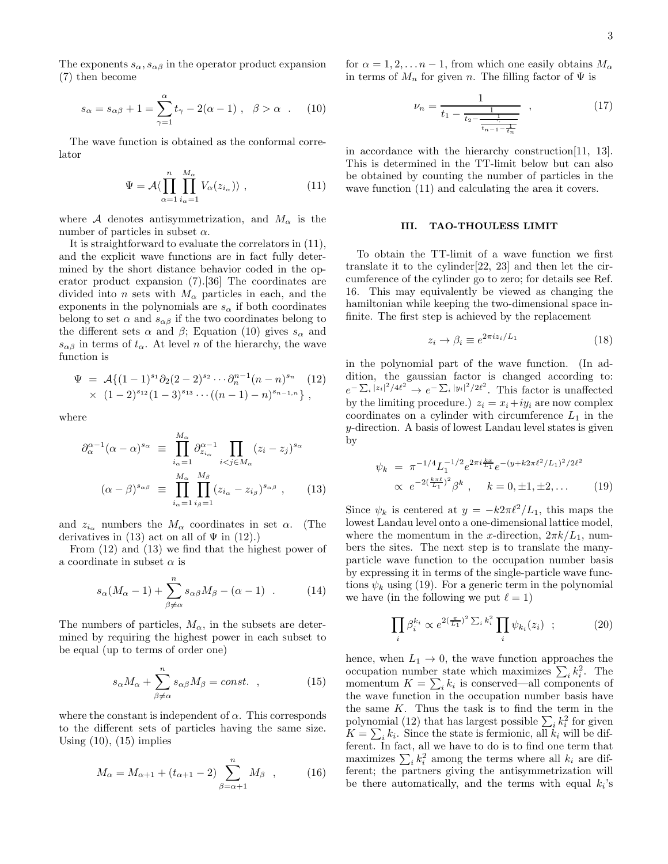The exponents  $s_{\alpha}, s_{\alpha\beta}$  in the operator product expansion (7) then become

$$
s_{\alpha} = s_{\alpha\beta} + 1 = \sum_{\gamma=1}^{\alpha} t_{\gamma} - 2(\alpha - 1) , \quad \beta > \alpha .
$$
 (10)

The wave function is obtained as the conformal correlator

$$
\Psi = \mathcal{A} \langle \prod_{\alpha=1}^{n} \prod_{i_{\alpha}=1}^{M_{\alpha}} V_{\alpha}(z_{i_{\alpha}}) \rangle , \qquad (11)
$$

where A denotes antisymmetrization, and  $M_{\alpha}$  is the number of particles in subset  $\alpha$ .

It is straightforward to evaluate the correlators in (11), and the explicit wave functions are in fact fully determined by the short distance behavior coded in the operator product expansion (7).[36] The coordinates are divided into n sets with  $M_{\alpha}$  particles in each, and the exponents in the polynomials are  $s_{\alpha}$  if both coordinates belong to set  $\alpha$  and  $s_{\alpha\beta}$  if the two coordinates belong to the different sets  $\alpha$  and  $\beta$ ; Equation (10) gives  $s_{\alpha}$  and  $s_{\alpha\beta}$  in terms of  $t_{\alpha}$ . At level n of the hierarchy, the wave function is

$$
\Psi = \mathcal{A}\{(1-1)^{s_1}\partial_2(2-2)^{s_2}\cdots\partial_n^{n-1}(n-n)^{s_n} \quad (12) \\
\times (1-2)^{s_{12}}(1-3)^{s_{13}}\cdots((n-1)-n)^{s_{n-1,n}}\},
$$

where

$$
\partial_{\alpha}^{\alpha-1}(\alpha-\alpha)^{s_{\alpha}} \equiv \prod_{i_{\alpha}=1}^{M_{\alpha}} \partial_{z_{i_{\alpha}}}^{\alpha-1} \prod_{i < j \in M_{\alpha}} (z_i - z_j)^{s_{\alpha}}
$$

$$
(\alpha - \beta)^{s_{\alpha\beta}} \equiv \prod_{i_{\alpha}=1}^{M_{\alpha}} \prod_{i_{\beta}=1}^{M_{\beta}} (z_{i_{\alpha}} - z_{i_{\beta}})^{s_{\alpha\beta}}, \qquad (13)
$$

and  $z_{i_{\alpha}}$  numbers the  $M_{\alpha}$  coordinates in set  $\alpha$ . (The derivatives in (13) act on all of  $\Psi$  in (12).)

From (12) and (13) we find that the highest power of a coordinate in subset  $\alpha$  is

$$
s_{\alpha}(M_{\alpha}-1)+\sum_{\beta\neq\alpha}^{n} s_{\alpha\beta}M_{\beta}-(\alpha-1) . \qquad (14)
$$

The numbers of particles,  $M_{\alpha}$ , in the subsets are determined by requiring the highest power in each subset to be equal (up to terms of order one)

$$
s_{\alpha}M_{\alpha} + \sum_{\beta \neq \alpha}^{n} s_{\alpha\beta}M_{\beta} = const. , \qquad (15)
$$

where the constant is independent of  $\alpha$ . This corresponds to the different sets of particles having the same size. Using  $(10)$ ,  $(15)$  implies

$$
M_{\alpha} = M_{\alpha+1} + (t_{\alpha+1} - 2) \sum_{\beta=\alpha+1}^{n} M_{\beta} , \qquad (16)
$$

for  $\alpha = 1, 2, \ldots n-1$ , from which one easily obtains  $M_{\alpha}$ in terms of  $M_n$  for given n. The filling factor of  $\Psi$  is

$$
\nu_n = \frac{1}{t_1 - \frac{1}{t_2 - \frac{1}{\overline{t_{n-1} - \frac{1}{t_n}}}}},\tag{17}
$$

in accordance with the hierarchy construction[11, 13]. This is determined in the TT-limit below but can also be obtained by counting the number of particles in the wave function (11) and calculating the area it covers.

## III. TAO-THOULESS LIMIT

To obtain the TT-limit of a wave function we first translate it to the cylinder[22, 23] and then let the circumference of the cylinder go to zero; for details see Ref. 16. This may equivalently be viewed as changing the hamiltonian while keeping the two-dimensional space infinite. The first step is achieved by the replacement

$$
z_i \to \beta_i \equiv e^{2\pi i z_i/L_1} \tag{18}
$$

in the polynomial part of the wave function. (In addition, the gaussian factor is changed according to:  $e^{-\sum_i |z_i|^2/4\ell^2} \to e^{-\sum_i |y_i|^2/2\ell^2}$ . This factor is unaffected by the limiting procedure.)  $z_i = x_i + iy_i$  are now complex coordinates on a cylinder with circumference  $L_1$  in the y-direction. A basis of lowest Landau level states is given by

$$
\psi_k = \pi^{-1/4} L_1^{-1/2} e^{2\pi i \frac{kx}{L_1}} e^{-(y+k2\pi \ell^2/L_1)^2/2\ell^2} \propto e^{-2(\frac{k\pi \ell}{L_1})^2} \beta^k , \quad k = 0, \pm 1, \pm 2, \dots \tag{19}
$$

Since  $\psi_k$  is centered at  $y = -k2\pi \ell^2/L_1$ , this maps the lowest Landau level onto a one-dimensional lattice model, where the momentum in the x-direction,  $2\pi k/L_1$ , numbers the sites. The next step is to translate the manyparticle wave function to the occupation number basis by expressing it in terms of the single-particle wave functions  $\psi_k$  using (19). For a generic term in the polynomial we have (in the following we put  $\ell = 1$ )

$$
\prod_{i} \beta_i^{k_i} \propto e^{2(\frac{\pi}{L_1})^2 \sum_i k_i^2} \prod_i \psi_{k_i}(z_i) \quad ; \tag{20}
$$

hence, when  $L_1 \rightarrow 0$ , the wave function approaches the occupation number state which maximizes  $\sum_i k_i^2$ . The momentum  $K = \sum_i k_i$  is conserved—all components of the wave function in the occupation number basis have the same  $K$ . Thus the task is to find the term in the polynomial (12) that has largest possible  $\sum_i k_i^2$  for given  $K = \sum_i k_i$ . Since the state is fermionic, all  $k_i$  will be different. In fact, all we have to do is to find one term that maximizes  $\sum_i k_i^2$  among the terms where all  $k_i$  are different; the partners giving the antisymmetrization will be there automatically, and the terms with equal  $k_i$ 's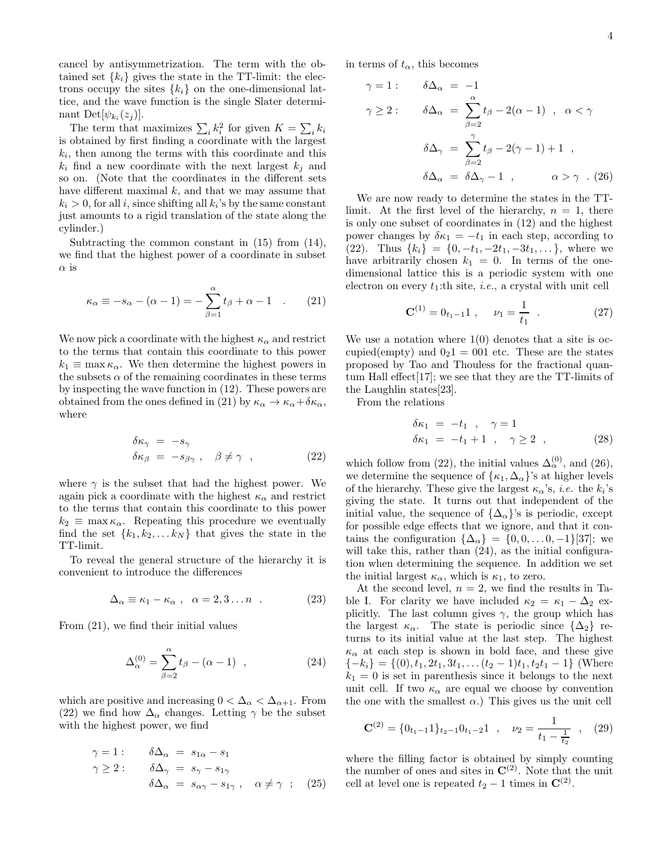cancel by antisymmetrization. The term with the obtained set  $\{k_i\}$  gives the state in the TT-limit: the electrons occupy the sites  $\{k_i\}$  on the one-dimensional lattice, and the wave function is the single Slater determinant Det $[\psi_{k_i}(z_j)].$ 

The term that maximizes  $\sum_i k_i^2$  for given  $K = \sum_i k_i$ is obtained by first finding a coordinate with the largest  $k_i$ , then among the terms with this coordinate and this  $k_i$  find a new coordinate with the next largest  $k_i$  and so on. (Note that the coordinates in the different sets have different maximal  $k$ , and that we may assume that  $k_i > 0$ , for all i, since shifting all  $k_i$ 's by the same constant just amounts to a rigid translation of the state along the cylinder.)

Subtracting the common constant in (15) from (14), we find that the highest power of a coordinate in subset  $\alpha$  is

$$
\kappa_{\alpha} \equiv -s_{\alpha} - (\alpha - 1) = -\sum_{\beta=1}^{\alpha} t_{\beta} + \alpha - 1 \quad . \tag{21}
$$

We now pick a coordinate with the highest  $\kappa_{\alpha}$  and restrict to the terms that contain this coordinate to this power  $k_1 \equiv \max \kappa_\alpha$ . We then determine the highest powers in the subsets  $\alpha$  of the remaining coordinates in these terms by inspecting the wave function in (12). These powers are obtained from the ones defined in (21) by  $\kappa_{\alpha} \to \kappa_{\alpha} + \delta \kappa_{\alpha}$ , where

$$
\begin{aligned}\n\delta \kappa_{\gamma} &= -s_{\gamma} \\
\delta \kappa_{\beta} &= -s_{\beta \gamma} , \quad \beta \neq \gamma \quad ,\n\end{aligned} \tag{22}
$$

where  $\gamma$  is the subset that had the highest power. We again pick a coordinate with the highest  $\kappa_{\alpha}$  and restrict to the terms that contain this coordinate to this power  $k_2 \equiv \max \kappa_\alpha$ . Repeating this procedure we eventually find the set  $\{k_1, k_2, \ldots k_N\}$  that gives the state in the TT-limit.

To reveal the general structure of the hierarchy it is convenient to introduce the differences

$$
\Delta_{\alpha} \equiv \kappa_1 - \kappa_{\alpha} , \quad \alpha = 2, 3 \dots n . \tag{23}
$$

From (21), we find their initial values

$$
\Delta_{\alpha}^{(0)} = \sum_{\beta=2}^{\alpha} t_{\beta} - (\alpha - 1) , \qquad (24)
$$

which are positive and increasing  $0 < \Delta_{\alpha} < \Delta_{\alpha+1}$ . From (22) we find how  $\Delta_{\alpha}$  changes. Letting  $\gamma$  be the subset with the highest power, we find

$$
\gamma = 1: \quad \delta \Delta_{\alpha} = s_{1\alpha} - s_1 \n\gamma \ge 2: \quad \delta \Delta_{\gamma} = s_{\gamma} - s_{1\gamma} \n\delta \Delta_{\alpha} = s_{\alpha\gamma} - s_{1\gamma} , \quad \alpha \neq \gamma ; \quad (25)
$$

in terms of  $t_{\alpha}$ , this becomes

$$
\gamma = 1: \quad \delta \Delta_{\alpha} = -1
$$
  

$$
\gamma \ge 2: \quad \delta \Delta_{\alpha} = \sum_{\beta=2}^{\alpha} t_{\beta} - 2(\alpha - 1) , \quad \alpha < \gamma
$$
  

$$
\delta \Delta_{\gamma} = \sum_{\beta=2}^{\gamma} t_{\beta} - 2(\gamma - 1) + 1 ,
$$
  

$$
\delta \Delta_{\alpha} = \delta \Delta_{\gamma} - 1 , \quad \alpha > \gamma . (26)
$$

We are now ready to determine the states in the TTlimit. At the first level of the hierarchy,  $n = 1$ , there is only one subset of coordinates in (12) and the highest power changes by  $\delta \kappa_1 = -t_1$  in each step, according to (22). Thus  $\{k_i\} = \{0, -t_1, -2t_1, -3t_1, \ldots\}$ , where we have arbitrarily chosen  $k_1 = 0$ . In terms of the onedimensional lattice this is a periodic system with one electron on every  $t_1$ :th site, *i.e.*, a crystal with unit cell

$$
\mathbf{C}^{(1)} = 0_{t_1 - 1} \mathbf{1} \ , \quad \nu_1 = \frac{1}{t_1} \ . \tag{27}
$$

We use a notation where  $1(0)$  denotes that a site is occupied(empty) and  $0<sub>2</sub>1 = 001$  etc. These are the states proposed by Tao and Thouless for the fractional quantum Hall effect[17]; we see that they are the TT-limits of the Laughlin states[23].

From the relations

$$
\begin{aligned}\n\delta \kappa_1 &= -t_1 , \quad \gamma = 1 \\
\delta \kappa_1 &= -t_1 + 1 , \quad \gamma \ge 2 ,\n\end{aligned} \tag{28}
$$

which follow from (22), the initial values  $\Delta_{\alpha}^{(0)}$ , and (26), we determine the sequence of  $\{\kappa_1, \Delta_\alpha\}$ 's at higher levels of the hierarchy. These give the largest  $\kappa_{\alpha}$ 's, *i.e.* the  $k_i$ 's giving the state. It turns out that independent of the initial value, the sequence of  $\{\Delta_{\alpha}\}$ 's is periodic, except for possible edge effects that we ignore, and that it contains the configuration  $\{\Delta_{\alpha}\} = \{0, 0, \ldots 0, -1\}$ [37]; we will take this, rather than  $(24)$ , as the initial configuration when determining the sequence. In addition we set the initial largest  $\kappa_{\alpha}$ , which is  $\kappa_1$ , to zero.

At the second level,  $n = 2$ , we find the results in Table I. For clarity we have included  $\kappa_2 = \kappa_1 - \Delta_2$  explicitly. The last column gives  $\gamma$ , the group which has the largest  $\kappa_{\alpha}$ . The state is periodic since  $\{\Delta_2\}$  returns to its initial value at the last step. The highest  $\kappa_{\alpha}$  at each step is shown in bold face, and these give  ${-k<sub>i</sub>} = {(0), t<sub>1</sub>, 2t<sub>1</sub>, 3t<sub>1</sub>, ... (t<sub>2</sub> - 1)t<sub>1</sub>, t<sub>2</sub>t<sub>1</sub> - 1} (Where$  $k_1 = 0$  is set in parenthesis since it belongs to the next unit cell. If two  $\kappa_{\alpha}$  are equal we choose by convention the one with the smallest  $\alpha$ .) This gives us the unit cell

$$
\mathbf{C}^{(2)} = \{0_{t_1-1}1\}_{t_2-1}0_{t_1-2}1 \ , \quad \nu_2 = \frac{1}{t_1 - \frac{1}{t_2}} \ , \quad (29)
$$

where the filling factor is obtained by simply counting the number of ones and sites in  $\mathbf{C}^{(2)}$ . Note that the unit cell at level one is repeated  $t_2 - 1$  times in  $\mathbb{C}^{(2)}$ .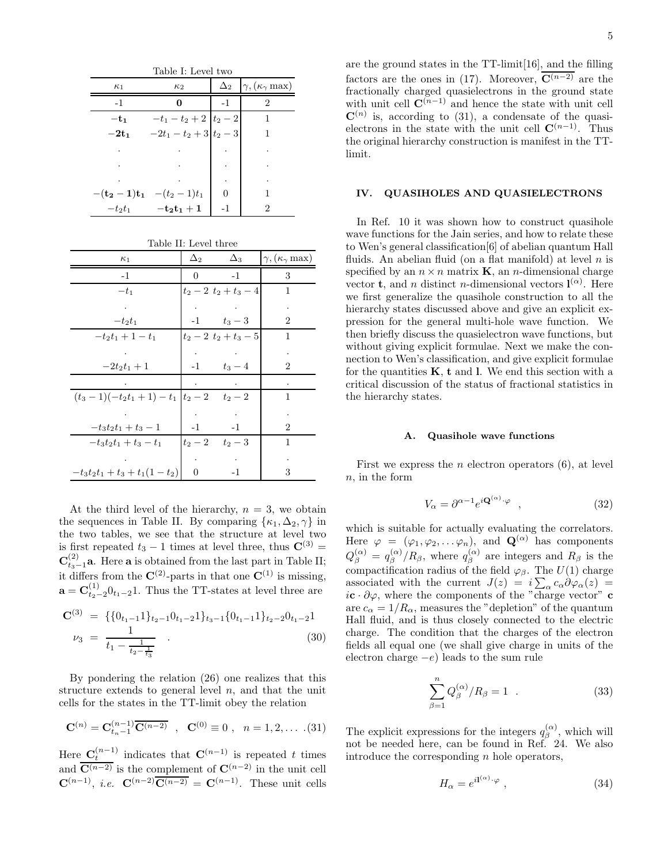| Table I: Level two |                                          |      |                                                     |  |  |
|--------------------|------------------------------------------|------|-----------------------------------------------------|--|--|
| $\kappa_1$         | $\kappa_2$                               |      | $\Delta_2$ $\gamma$ , $(\kappa_\gamma \text{ max})$ |  |  |
| $-1$               | 0                                        | $-1$ | 2                                                   |  |  |
| $-t_1$             | $-t_1-t_2+2$ $t_2-2$                     |      |                                                     |  |  |
| $-2t_1$            | $-2t_1-t_2+3$ $t_2-3$                    |      |                                                     |  |  |
|                    |                                          |      |                                                     |  |  |
|                    |                                          |      |                                                     |  |  |
|                    |                                          |      |                                                     |  |  |
|                    | $-(t_2-1)t_1$ $-(t_2-1)t_1$              |      |                                                     |  |  |
| $-t_2t_1$          | $-\mathbf{t_2}\mathbf{t_1} + \mathbf{1}$ | -1   | 2                                                   |  |  |

Table II: Level three

| $\kappa_1$                           | $\Delta_2$ | $\Delta_3$          | $\gamma, (\kappa_{\gamma} \text{ max})$ |
|--------------------------------------|------------|---------------------|-----------------------------------------|
| $-1$                                 | 0          | $-1$                | 3                                       |
| $-t_1$                               |            | $t_2-2$ $t_2+t_3-4$ | 1                                       |
| $\cdot$                              |            |                     |                                         |
| $-t_2t_1$                            |            | $-1$ $t_3-3$        | 2                                       |
| $-t_2t_1+1-t_1$                      |            | $t_2-2$ $t_2+t_3-5$ | 1                                       |
|                                      |            |                     |                                         |
| $-2t_2t_1+1$                         |            | $-1$ $t_3-4$        | $\overline{2}$                          |
|                                      |            |                     |                                         |
| $(t_3-1)(-t_2t_1+1)-t_1 t_2-2-t_2-2$ |            |                     | 1                                       |
|                                      |            |                     |                                         |
| $-t_3t_2t_1+t_3-1$                   | $-1$       | $-1$                | 2                                       |
| $-t_3t_2t_1+t_3-t_1$                 |            | $t_2-2 \t t_2-3$    | 1                                       |
|                                      |            |                     |                                         |
| $-t_3t_2t_1+t_3+t_1(1-t_2)$          | 0          | $-1$                | 3                                       |

At the third level of the hierarchy,  $n = 3$ , we obtain the sequences in Table II. By comparing  $\{\kappa_1, \Delta_2, \gamma\}$  in the two tables, we see that the structure at level two is first repeated  $t_3 - 1$  times at level three, thus  $\mathbf{C}^{(3)} =$  $\mathbf{C}_{t_3-1}^{(2)}$ **a**. Here **a** is obtained from the last part in Table II; it differs from the  $\mathbf{C}^{(2)}$ -parts in that one  $\mathbf{C}^{(1)}$  is missing.  $\mathbf{a} = \mathbf{C}_{t_2-2}^{(1)} 0_{t_1-2} 1$ . Thus the TT-states at level three are

$$
\mathbf{C}^{(3)} = \{ \{0_{t_1-1}\}_{t_2-1} 0_{t_1-2} 1 \}_{t_3-1} \{0_{t_1-1}\}_{t_2-2} 0_{t_1-2} 1
$$
  

$$
\nu_3 = \frac{1}{t_1 - \frac{1}{t_2 - \frac{1}{t_3}}} \tag{30}
$$

By pondering the relation (26) one realizes that this structure extends to general level  $n$ , and that the unit cells for the states in the TT-limit obey the relation

$$
\mathbf{C}^{(n)} = \mathbf{C}_{t_n-1}^{(n-1)} \overline{\mathbf{C}^{(n-2)}} \quad , \quad \mathbf{C}^{(0)} \equiv 0 \quad , \quad n = 1, 2, \dots \quad (31)
$$

Here  $\mathbf{C}_t^{(n-1)}$  indicates that  $\mathbf{C}^{(n-1)}$  is repeated t times and  $\overline{\mathbf{C}^{(n-2)}}$  is the complement of  $\mathbf{C}^{(n-2)}$  in the unit cell  ${\bf C}^{(n-1)}$ , *i.e.*  ${\bf C}^{(n-2)}{\bf C}^{(n-2)} = {\bf C}^{(n-1)}$ . These unit cells

are the ground states in the TT-limit[16], and the filling factors are the ones in (17). Moreover,  $\overline{C^{(n-2)}}$  are the fractionally charged quasielectrons in the ground state with unit cell  $\mathbf{C}^{(n-1)}$  and hence the state with unit cell  $\mathbf{C}^{(n)}$  is, according to (31), a condensate of the quasielectrons in the state with the unit cell  $\mathbf{C}^{(n-1)}$ . Thus the original hierarchy construction is manifest in the TTlimit.

# IV. QUASIHOLES AND QUASIELECTRONS

In Ref. 10 it was shown how to construct quasihole wave functions for the Jain series, and how to relate these to Wen's general classification[6] of abelian quantum Hall fluids. An abelian fluid (on a flat manifold) at level  $n$  is specified by an  $n \times n$  matrix **K**, an *n*-dimensional charge vector **t**, and *n* distinct *n*-dimensional vectors  $\mathbf{l}^{(\alpha)}$ . Here we first generalize the quasihole construction to all the hierarchy states discussed above and give an explicit expression for the general multi-hole wave function. We then briefly discuss the quasielectron wave functions, but without giving explicit formulae. Next we make the connection to Wen's classification, and give explicit formulae for the quantities  $K$ ,  $t$  and  $l$ . We end this section with a critical discussion of the status of fractional statistics in the hierarchy states.

### A. Quasihole wave functions

First we express the *n* electron operators  $(6)$ , at level  $n$ , in the form

$$
V_{\alpha} = \partial^{\alpha - 1} e^{i \mathbf{Q}^{(\alpha)} \cdot \varphi} \quad , \tag{32}
$$

which is suitable for actually evaluating the correlators. Here  $\varphi = (\varphi_1, \varphi_2, \dots \varphi_n)$ , and  $\mathbf{Q}^{(\alpha)}$  has components  $Q_\beta^{(\alpha)}\,=\,q_\beta^{(\alpha)}$  $\int_{\beta}^{(\alpha)} / R_{\beta}$ , where  $q_{\beta}^{(\alpha)}$  $\int_{\beta}^{(\alpha)}$  are integers and  $R_{\beta}$  is the compactification radius of the field  $\varphi_{\beta}$ . The  $U(1)$  charge associated with the current  $J(z) = i \sum_{\alpha} c_{\alpha} \partial \varphi_{\alpha}(z) =$  $i\mathbf{c} \cdot \partial \varphi$ , where the components of the "charge vector" **c** are  $c_{\alpha} = 1/R_{\alpha}$ , measures the "depletion" of the quantum Hall fluid, and is thus closely connected to the electric charge. The condition that the charges of the electron fields all equal one (we shall give charge in units of the electron charge  $-e$ ) leads to the sum rule

$$
\sum_{\beta=1}^{n} Q_{\beta}^{(\alpha)} / R_{\beta} = 1 \quad . \tag{33}
$$

The explicit expressions for the integers  $q_{\beta}^{(\alpha)}$  $\int_{\beta}^{(\alpha)}$ , which will not be needed here, can be found in Ref. 24. We also introduce the corresponding  $n$  hole operators,

$$
H_{\alpha} = e^{i\mathbf{1}^{(\alpha)} \cdot \varphi} \t{,} \t(34)
$$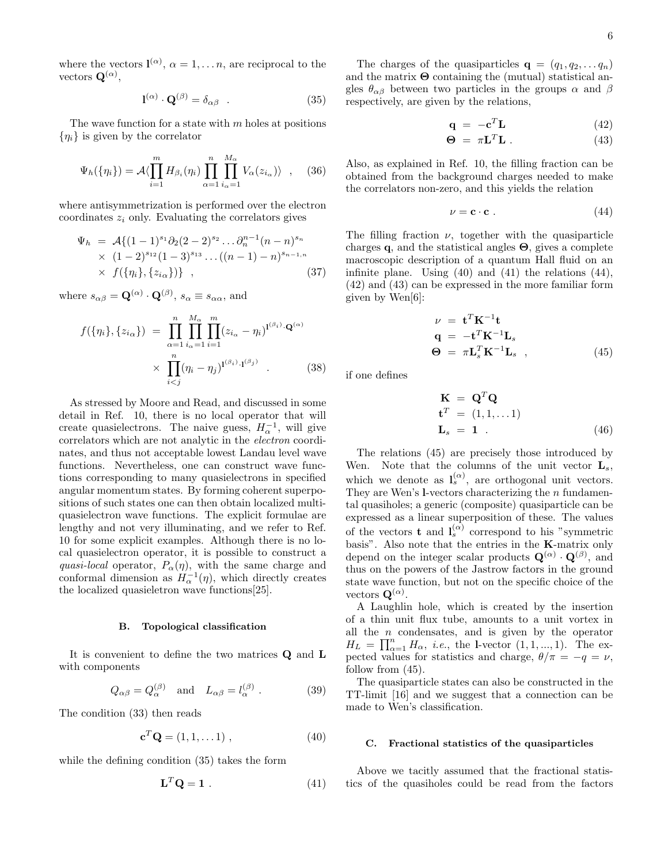where the vectors  $\mathbf{l}^{(\alpha)}$ ,  $\alpha = 1, \ldots n$ , are reciprocal to the vectors  $\mathbf{Q}^{(\alpha)}$ ,

$$
\mathbf{l}^{(\alpha)} \cdot \mathbf{Q}^{(\beta)} = \delta_{\alpha\beta} \quad . \tag{35}
$$

The wave function for a state with  $m$  holes at positions  $\{\eta_i\}$  is given by the correlator

$$
\Psi_h(\{\eta_i\}) = \mathcal{A}\langle \prod_{i=1}^m H_{\beta_i}(\eta_i) \prod_{\alpha=1}^n \prod_{i_\alpha=1}^{M_\alpha} V_\alpha(z_{i_\alpha}) \rangle \quad , \quad (36)
$$

where antisymmetrization is performed over the electron coordinates  $z_i$  only. Evaluating the correlators gives

$$
\Psi_h = \mathcal{A}\{(1-1)^{s_1}\partial_2(2-2)^{s_2}\dots\partial_n^{n-1}(n-n)^{s_n} \times (1-2)^{s_{12}}(1-3)^{s_{13}}\dots((n-1)-n)^{s_{n-1,n}} \times f(\{\eta_i\},\{z_{i\alpha}\})\},
$$
\n(37)

where  $s_{\alpha\beta} = \mathbf{Q}^{(\alpha)} \cdot \mathbf{Q}^{(\beta)}$ ,  $s_{\alpha} \equiv s_{\alpha\alpha}$ , and

$$
f(\{\eta_i\}, \{z_{i\alpha}\}) = \prod_{\alpha=1}^n \prod_{i_{\alpha}=1}^{M_{\alpha}} \prod_{i=1}^m (z_{i_{\alpha}} - \eta_i)^{1^{(\beta_i)} \cdot \mathbf{Q}^{(\alpha)}}
$$

$$
\times \prod_{i < j}^n (\eta_i - \eta_j)^{1^{(\beta_i)} \cdot 1^{(\beta_j)}} . \tag{38}
$$

As stressed by Moore and Read, and discussed in some detail in Ref. 10, there is no local operator that will create quasielectrons. The naive guess,  $H_{\alpha}^{-1}$ , will give correlators which are not analytic in the electron coordinates, and thus not acceptable lowest Landau level wave functions. Nevertheless, one can construct wave functions corresponding to many quasielectrons in specified angular momentum states. By forming coherent superpositions of such states one can then obtain localized multiquasielectron wave functions. The explicit formulae are lengthy and not very illuminating, and we refer to Ref. 10 for some explicit examples. Although there is no local quasielectron operator, it is possible to construct a quasi-local operator,  $P_{\alpha}(\eta)$ , with the same charge and conformal dimension as  $H_{\alpha}^{-1}(\eta)$ , which directly creates the localized quasieletron wave functions[25].

#### B. Topological classification

It is convenient to define the two matrices Q and L with components

$$
Q_{\alpha\beta} = Q_{\alpha}^{(\beta)} \quad \text{and} \quad L_{\alpha\beta} = l_{\alpha}^{(\beta)} \ . \tag{39}
$$

The condition (33) then reads

$$
\mathbf{c}^T \mathbf{Q} = (1, 1, \dots 1) \tag{40}
$$

while the defining condition (35) takes the form

$$
\mathbf{L}^T \mathbf{Q} = \mathbf{1} \tag{41}
$$

The charges of the quasiparticles  $\mathbf{q} = (q_1, q_2, \dots, q_n)$ and the matrix  $\Theta$  containing the (mutual) statistical angles  $\theta_{\alpha\beta}$  between two particles in the groups  $\alpha$  and  $\beta$ respectively, are given by the relations,

$$
\mathbf{q} = -\mathbf{c}^T \mathbf{L} \tag{42}
$$

$$
\mathbf{\Theta} = \pi \mathbf{L}^T \mathbf{L} \,. \tag{43}
$$

Also, as explained in Ref. 10, the filling fraction can be obtained from the background charges needed to make the correlators non-zero, and this yields the relation

$$
\nu = \mathbf{c} \cdot \mathbf{c} \tag{44}
$$

The filling fraction  $\nu$ , together with the quasiparticle charges q, and the statistical angles  $\Theta$ , gives a complete macroscopic description of a quantum Hall fluid on an infinite plane. Using (40) and (41) the relations (44), (42) and (43) can be expressed in the more familiar form given by Wen[6]:

$$
\nu = \mathbf{t}^T \mathbf{K}^{-1} \mathbf{t}
$$
  
\n
$$
\mathbf{q} = -\mathbf{t}^T \mathbf{K}^{-1} \mathbf{L}_s
$$
  
\n
$$
\mathbf{\Theta} = \pi \mathbf{L}_s^T \mathbf{K}^{-1} \mathbf{L}_s , \qquad (45)
$$

if one defines

$$
\mathbf{K} = \mathbf{Q}^T \mathbf{Q}
$$
  
\n
$$
\mathbf{t}^T = (1, 1, \dots 1)
$$
  
\n
$$
\mathbf{L}_s = \mathbf{1} \tag{46}
$$

The relations (45) are precisely those introduced by Wen. Note that the columns of the unit vector  $L_s$ , which we denote as  $\mathbf{l}_s^{(\alpha)}$ , are orthogonal unit vectors. They are Wen's  $l$ -vectors characterizing the *n* fundamental quasiholes; a generic (composite) quasiparticle can be expressed as a linear superposition of these. The values of the vectors **t** and  $I_s^{(\alpha)}$  correspond to his "symmetric basis". Also note that the entries in the K-matrix only depend on the integer scalar products  $\mathbf{Q}^{(\alpha)} \cdot \mathbf{Q}^{(\beta)}$ , and thus on the powers of the Jastrow factors in the ground state wave function, but not on the specific choice of the vectors  $\mathbf{Q}^{(\alpha)}$ .

A Laughlin hole, which is created by the insertion of a thin unit flux tube, amounts to a unit vortex in all the  $n$  condensates, and is given by the operator  $H_L = \prod_{\alpha=1}^n H_\alpha$ , *i.e.*, the l-vector  $(1, 1, ..., 1)$ . The expected values for statistics and charge,  $\theta/\pi = -q = \nu$ , follow from  $(45)$ .

The quasiparticle states can also be constructed in the TT-limit [16] and we suggest that a connection can be made to Wen's classification.

### C. Fractional statistics of the quasiparticles

Above we tacitly assumed that the fractional statistics of the quasiholes could be read from the factors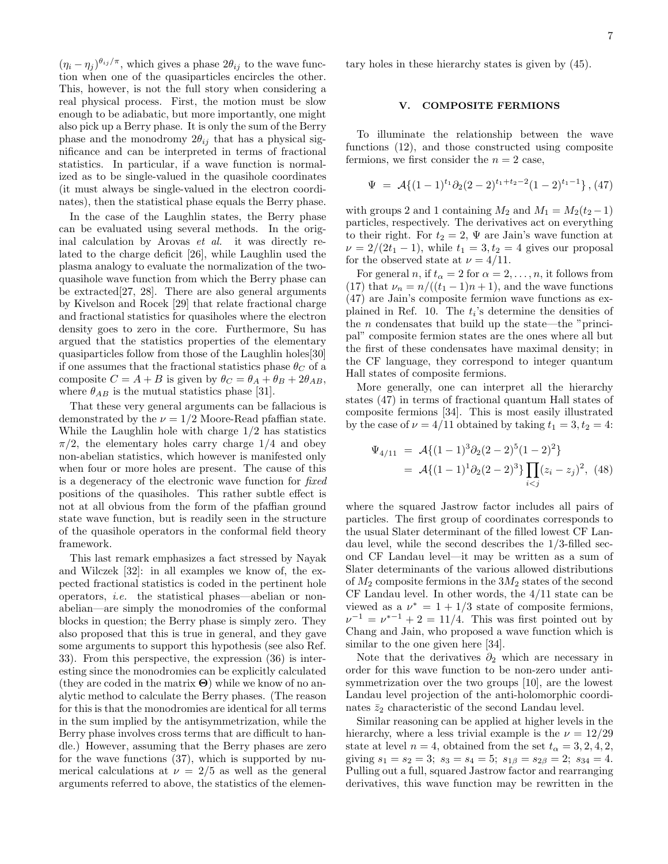$(\eta_i - \eta_j)^{\theta_{ij}/\pi}$ , which gives a phase  $2\theta_{ij}$  to the wave function when one of the quasiparticles encircles the other. This, however, is not the full story when considering a real physical process. First, the motion must be slow enough to be adiabatic, but more importantly, one might also pick up a Berry phase. It is only the sum of the Berry phase and the monodromy  $2\theta_{ij}$  that has a physical significance and can be interpreted in terms of fractional statistics. In particular, if a wave function is normalized as to be single-valued in the quasihole coordinates (it must always be single-valued in the electron coordinates), then the statistical phase equals the Berry phase.

In the case of the Laughlin states, the Berry phase can be evaluated using several methods. In the original calculation by Arovas et al. it was directly related to the charge deficit [26], while Laughlin used the plasma analogy to evaluate the normalization of the twoquasihole wave function from which the Berry phase can be extracted[27, 28]. There are also general arguments by Kivelson and Rocek [29] that relate fractional charge and fractional statistics for quasiholes where the electron density goes to zero in the core. Furthermore, Su has argued that the statistics properties of the elementary quasiparticles follow from those of the Laughlin holes[30] if one assumes that the fractional statistics phase  $\theta_C$  of a composite  $C = A + B$  is given by  $\theta_C = \theta_A + \theta_B + 2\theta_{AB}$ , where  $\theta_{AB}$  is the mutual statistics phase [31].

That these very general arguments can be fallacious is demonstrated by the  $\nu = 1/2$  Moore-Read pfaffian state. While the Laughlin hole with charge 1/2 has statistics  $\pi/2$ , the elementary holes carry charge 1/4 and obey non-abelian statistics, which however is manifested only when four or more holes are present. The cause of this is a degeneracy of the electronic wave function for fixed positions of the quasiholes. This rather subtle effect is not at all obvious from the form of the pfaffian ground state wave function, but is readily seen in the structure of the quasihole operators in the conformal field theory framework.

This last remark emphasizes a fact stressed by Nayak and Wilczek [32]: in all examples we know of, the expected fractional statistics is coded in the pertinent hole operators, i.e. the statistical phases—abelian or nonabelian—are simply the monodromies of the conformal blocks in question; the Berry phase is simply zero. They also proposed that this is true in general, and they gave some arguments to support this hypothesis (see also Ref. 33). From this perspective, the expression (36) is interesting since the monodromies can be explicitly calculated (they are coded in the matrix  $\Theta$ ) while we know of no analytic method to calculate the Berry phases. (The reason for this is that the monodromies are identical for all terms in the sum implied by the antisymmetrization, while the Berry phase involves cross terms that are difficult to handle.) However, assuming that the Berry phases are zero for the wave functions (37), which is supported by numerical calculations at  $\nu = 2/5$  as well as the general arguments referred to above, the statistics of the elementary holes in these hierarchy states is given by (45).

### V. COMPOSITE FERMIONS

To illuminate the relationship between the wave functions (12), and those constructed using composite fermions, we first consider the  $n = 2$  case,

$$
\Psi = \mathcal{A}\{(1-1)^{t_1}\partial_2(2-2)^{t_1+t_2-2}(1-2)^{t_1-1}\},\,(47)
$$

with groups 2 and 1 containing  $M_2$  and  $M_1 = M_2(t_2 - 1)$ particles, respectively. The derivatives act on everything to their right. For  $t_2 = 2$ ,  $\Psi$  are Jain's wave function at  $\nu = 2/(2t_1 - 1)$ , while  $t_1 = 3, t_2 = 4$  gives our proposal for the observed state at  $\nu = 4/11$ .

For general n, if  $t_{\alpha} = 2$  for  $\alpha = 2, \ldots, n$ , it follows from (17) that  $\nu_n = n/((t_1 - 1)n + 1)$ , and the wave functions (47) are Jain's composite fermion wave functions as explained in Ref. 10. The  $t_i$ 's determine the densities of the  $n$  condensates that build up the state—the "principal" composite fermion states are the ones where all but the first of these condensates have maximal density; in the CF language, they correspond to integer quantum Hall states of composite fermions.

More generally, one can interpret all the hierarchy states (47) in terms of fractional quantum Hall states of composite fermions [34]. This is most easily illustrated by the case of  $\nu = 4/11$  obtained by taking  $t_1 = 3, t_2 = 4$ :

$$
\Psi_{4/11} = \mathcal{A}\{(1-1)^3 \partial_2 (2-2)^5 (1-2)^2\}
$$
  
= 
$$
\mathcal{A}\{(1-1)^1 \partial_2 (2-2)^3\} \prod_{i < j} (z_i - z_j)^2, \quad (48)
$$

where the squared Jastrow factor includes all pairs of particles. The first group of coordinates corresponds to the usual Slater determinant of the filled lowest CF Landau level, while the second describes the 1/3-filled second CF Landau level—it may be written as a sum of Slater determinants of the various allowed distributions of  $M_2$  composite fermions in the  $3M_2$  states of the second CF Landau level. In other words, the 4/11 state can be viewed as a  $\nu^* = 1 + 1/3$  state of composite fermions,  $\nu^{-1} = \nu^{*-1} + 2 = 11/4$ . This was first pointed out by Chang and Jain, who proposed a wave function which is similar to the one given here [34].

Note that the derivatives  $\partial_2$  which are necessary in order for this wave function to be non-zero under antisymmetrization over the two groups [10], are the lowest Landau level projection of the anti-holomorphic coordinates  $\bar{z}_2$  characteristic of the second Landau level.

Similar reasoning can be applied at higher levels in the hierarchy, where a less trivial example is the  $\nu = 12/29$ state at level  $n = 4$ , obtained from the set  $t_{\alpha} = 3, 2, 4, 2$ , giving  $s_1 = s_2 = 3$ ;  $s_3 = s_4 = 5$ ;  $s_{1\beta} = s_{2\beta} = 2$ ;  $s_{34} = 4$ . Pulling out a full, squared Jastrow factor and rearranging derivatives, this wave function may be rewritten in the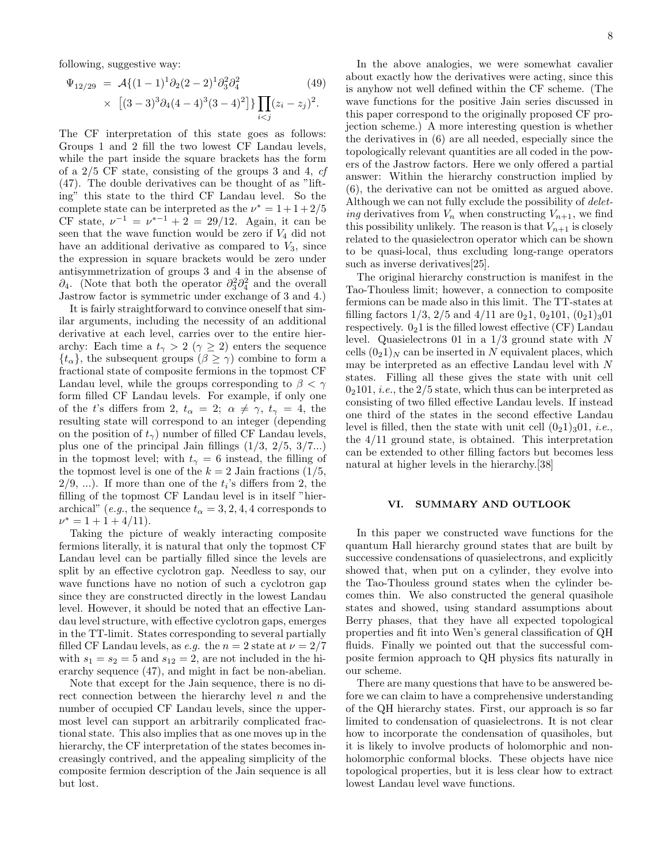following, suggestive way:

$$
\Psi_{12/29} = \mathcal{A}\{(1-1)^1 \partial_2 (2-2)^1 \partial_3^2 \partial_4^2
$$
\n
$$
\times \left[ (3-3)^3 \partial_4 (4-4)^3 (3-4)^2 \right] \} \prod_{i < j} (z_i - z_j)^2.
$$
\n(49)

The CF interpretation of this state goes as follows: Groups 1 and 2 fill the two lowest CF Landau levels, while the part inside the square brackets has the form of a 2/5 CF state, consisting of the groups 3 and 4, cf (47). The double derivatives can be thought of as "lifting" this state to the third CF Landau level. So the complete state can be interpreted as the  $\nu^* = 1 + 1 + 2/5$ CF state,  $\nu^{-1} = \nu^{*-1} + 2 = 29/12$ . Again, it can be seen that the wave function would be zero if  $V_4$  did not have an additional derivative as compared to  $V_3$ , since the expression in square brackets would be zero under antisymmetrization of groups 3 and 4 in the absense of  $\partial_4$ . (Note that both the operator  $\partial_3^2 \partial_4^2$  and the overall Jastrow factor is symmetric under exchange of 3 and 4.)

It is fairly straightforward to convince oneself that similar arguments, including the necessity of an additional derivative at each level, carries over to the entire hierarchy: Each time a  $t_{\gamma} > 2$  ( $\gamma \geq 2$ ) enters the sequence  $\{t_{\alpha}\}\$ , the subsequent groups  $(\beta \geq \gamma)$  combine to form a fractional state of composite fermions in the topmost CF Landau level, while the groups corresponding to  $\beta < \gamma$ form filled CF Landau levels. For example, if only one of the t's differs from 2,  $t_{\alpha} = 2$ ;  $\alpha \neq \gamma$ ,  $t_{\gamma} = 4$ , the resulting state will correspond to an integer (depending on the position of  $t_{\gamma}$ ) number of filled CF Landau levels, plus one of the principal Jain fillings  $(1/3, 2/5, 3/7...)$ in the topmost level; with  $t_{\gamma} = 6$  instead, the filling of the topmost level is one of the  $k = 2$  Jain fractions (1/5,  $2/9, \ldots$ ). If more than one of the  $t_i$ 's differs from 2, the filling of the topmost CF Landau level is in itself "hierarchical" (e.g., the sequence  $t_{\alpha} = 3, 2, 4, 4$  corresponds to  $\nu^* = 1 + 1 + 4/11$ .

Taking the picture of weakly interacting composite fermions literally, it is natural that only the topmost CF Landau level can be partially filled since the levels are split by an effective cyclotron gap. Needless to say, our wave functions have no notion of such a cyclotron gap since they are constructed directly in the lowest Landau level. However, it should be noted that an effective Landau level structure, with effective cyclotron gaps, emerges in the TT-limit. States corresponding to several partially filled CF Landau levels, as *e.g.* the  $n = 2$  state at  $\nu = 2/7$ with  $s_1 = s_2 = 5$  and  $s_{12} = 2$ , are not included in the hierarchy sequence (47), and might in fact be non-abelian.

Note that except for the Jain sequence, there is no direct connection between the hierarchy level  $n$  and the number of occupied CF Landau levels, since the uppermost level can support an arbitrarily complicated fractional state. This also implies that as one moves up in the hierarchy, the CF interpretation of the states becomes increasingly contrived, and the appealing simplicity of the composite fermion description of the Jain sequence is all but lost.

In the above analogies, we were somewhat cavalier about exactly how the derivatives were acting, since this is anyhow not well defined within the CF scheme. (The wave functions for the positive Jain series discussed in this paper correspond to the originally proposed CF projection scheme.) A more interesting question is whether the derivatives in (6) are all needed, especially since the topologically relevant quantities are all coded in the powers of the Jastrow factors. Here we only offered a partial answer: Within the hierarchy construction implied by (6), the derivative can not be omitted as argued above. Although we can not fully exclude the possibility of *delet*ing derivatives from  $V_n$  when constructing  $V_{n+1}$ , we find this possibility unlikely. The reason is that  $V_{n+1}$  is closely related to the quasielectron operator which can be shown to be quasi-local, thus excluding long-range operators such as inverse derivatives [25].

The original hierarchy construction is manifest in the Tao-Thouless limit; however, a connection to composite fermions can be made also in this limit. The TT-states at filling factors  $1/3$ ,  $2/5$  and  $4/11$  are  $0<sub>2</sub>1$ ,  $0<sub>2</sub>101$ ,  $(0<sub>2</sub>1)<sub>3</sub>01$ respectively.  $0<sub>2</sub>1$  is the filled lowest effective (CF) Landau level. Quasielectrons 01 in a  $1/3$  ground state with N cells  $(0<sub>2</sub>1)<sub>N</sub>$  can be inserted in N equivalent places, which may be interpreted as an effective Landau level with N states. Filling all these gives the state with unit cell  $0<sub>2</sub>101$ , *i.e.*, the  $2/5$  state, which thus can be interpreted as consisting of two filled effective Landau levels. If instead one third of the states in the second effective Landau level is filled, then the state with unit cell  $(0<sub>2</sub>1)<sub>3</sub>01$ , *i.e.*, the 4/11 ground state, is obtained. This interpretation can be extended to other filling factors but becomes less natural at higher levels in the hierarchy.[38]

### VI. SUMMARY AND OUTLOOK

In this paper we constructed wave functions for the quantum Hall hierarchy ground states that are built by successive condensations of quasielectrons, and explicitly showed that, when put on a cylinder, they evolve into the Tao-Thouless ground states when the cylinder becomes thin. We also constructed the general quasihole states and showed, using standard assumptions about Berry phases, that they have all expected topological properties and fit into Wen's general classification of QH fluids. Finally we pointed out that the successful composite fermion approach to QH physics fits naturally in our scheme.

There are many questions that have to be answered before we can claim to have a comprehensive understanding of the QH hierarchy states. First, our approach is so far limited to condensation of quasielectrons. It is not clear how to incorporate the condensation of quasiholes, but it is likely to involve products of holomorphic and nonholomorphic conformal blocks. These objects have nice topological properties, but it is less clear how to extract lowest Landau level wave functions.